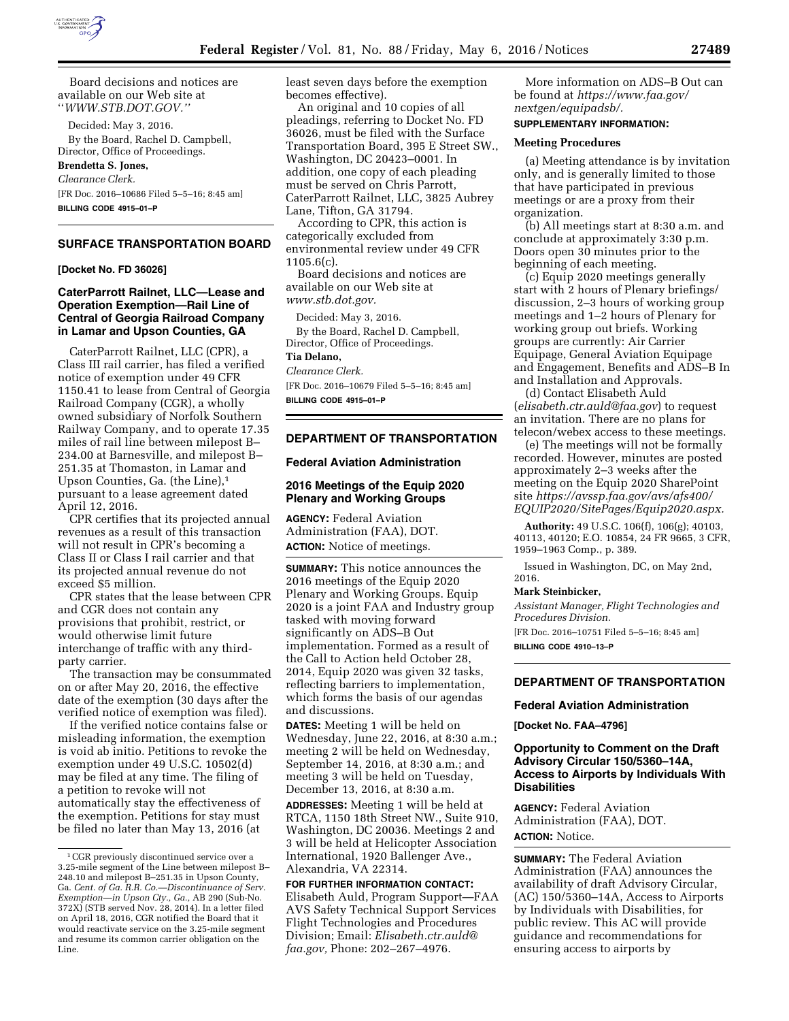

Board decisions and notices are available on our Web site at ''*WWW.STB.DOT.GOV.''* 

Decided: May 3, 2016. By the Board, Rachel D. Campbell, Director, Office of Proceedings.

### **Brendetta S. Jones,**

*Clearance Clerk.*  [FR Doc. 2016–10686 Filed 5–5–16; 8:45 am]

**BILLING CODE 4915–01–P** 

# **SURFACE TRANSPORTATION BOARD**

**[Docket No. FD 36026]** 

**CaterParrott Railnet, LLC—Lease and Operation Exemption—Rail Line of Central of Georgia Railroad Company in Lamar and Upson Counties, GA** 

CaterParrott Railnet, LLC (CPR), a Class III rail carrier, has filed a verified notice of exemption under 49 CFR 1150.41 to lease from Central of Georgia Railroad Company (CGR), a wholly owned subsidiary of Norfolk Southern Railway Company, and to operate 17.35 miles of rail line between milepost B– 234.00 at Barnesville, and milepost B– 251.35 at Thomaston, in Lamar and Upson Counties, Ga. (the Line),1 pursuant to a lease agreement dated April 12, 2016.

CPR certifies that its projected annual revenues as a result of this transaction will not result in CPR's becoming a Class II or Class I rail carrier and that its projected annual revenue do not exceed \$5 million.

CPR states that the lease between CPR and CGR does not contain any provisions that prohibit, restrict, or would otherwise limit future interchange of traffic with any thirdparty carrier.

The transaction may be consummated on or after May 20, 2016, the effective date of the exemption (30 days after the verified notice of exemption was filed).

If the verified notice contains false or misleading information, the exemption is void ab initio. Petitions to revoke the exemption under 49 U.S.C. 10502(d) may be filed at any time. The filing of a petition to revoke will not automatically stay the effectiveness of the exemption. Petitions for stay must be filed no later than May 13, 2016 (at

least seven days before the exemption becomes effective).

An original and 10 copies of all pleadings, referring to Docket No. FD 36026, must be filed with the Surface Transportation Board, 395 E Street SW., Washington, DC 20423–0001. In addition, one copy of each pleading must be served on Chris Parrott, CaterParrott Railnet, LLC, 3825 Aubrey Lane, Tifton, GA 31794.

According to CPR, this action is categorically excluded from environmental review under 49 CFR 1105.6(c).

Board decisions and notices are available on our Web site at *[www.stb.dot.gov.](http://www.stb.dot.gov)* 

Decided: May 3, 2016. By the Board, Rachel D. Campbell, Director, Office of Proceedings.

# **Tia Delano,**

*Clearance Clerk.* 

[FR Doc. 2016–10679 Filed 5–5–16; 8:45 am] **BILLING CODE 4915–01–P** 

### **DEPARTMENT OF TRANSPORTATION**

#### **Federal Aviation Administration**

## **2016 Meetings of the Equip 2020 Plenary and Working Groups**

**AGENCY:** Federal Aviation Administration (FAA), DOT. **ACTION:** Notice of meetings.

**SUMMARY:** This notice announces the 2016 meetings of the Equip 2020 Plenary and Working Groups. Equip 2020 is a joint FAA and Industry group tasked with moving forward significantly on ADS–B Out implementation. Formed as a result of the Call to Action held October 28, 2014, Equip 2020 was given 32 tasks, reflecting barriers to implementation, which forms the basis of our agendas and discussions.

**DATES:** Meeting 1 will be held on Wednesday, June 22, 2016, at 8:30 a.m.; meeting 2 will be held on Wednesday, September 14, 2016, at 8:30 a.m.; and meeting 3 will be held on Tuesday, December 13, 2016, at 8:30 a.m.

**ADDRESSES:** Meeting 1 will be held at RTCA, 1150 18th Street NW., Suite 910, Washington, DC 20036. Meetings 2 and 3 will be held at Helicopter Association International, 1920 Ballenger Ave., Alexandria, VA 22314.

**FOR FURTHER INFORMATION CONTACT:**  Elisabeth Auld, Program Support—FAA AVS Safety Technical Support Services Flight Technologies and Procedures Division; Email: *[Elisabeth.ctr.auld@](mailto:Elisabeth.ctr.auld@faa.gov) [faa.gov,](mailto:Elisabeth.ctr.auld@faa.gov)* Phone: 202–267–4976.

More information on ADS–B Out can be found at *[https://www.faa.gov/](https://www.faa.gov/nextgen/equipadsb/) [nextgen/equipadsb/.](https://www.faa.gov/nextgen/equipadsb/)* 

# **SUPPLEMENTARY INFORMATION:**

#### **Meeting Procedures**

(a) Meeting attendance is by invitation only, and is generally limited to those that have participated in previous meetings or are a proxy from their organization.

(b) All meetings start at 8:30 a.m. and conclude at approximately 3:30 p.m. Doors open 30 minutes prior to the beginning of each meeting.

(c) Equip 2020 meetings generally start with 2 hours of Plenary briefings/ discussion, 2–3 hours of working group meetings and 1–2 hours of Plenary for working group out briefs. Working groups are currently: Air Carrier Equipage, General Aviation Equipage and Engagement, Benefits and ADS–B In and Installation and Approvals.

(d) Contact Elisabeth Auld (*[elisabeth.ctr.auld@faa.gov](mailto:elisabeth.ctr.auld@faa.gov)*) to request an invitation. There are no plans for telecon/webex access to these meetings.

(e) The meetings will not be formally recorded. However, minutes are posted approximately 2–3 weeks after the meeting on the Equip 2020 SharePoint site *[https://avssp.faa.gov/avs/afs400/](https://avssp.faa.gov/avs/afs400/EQUIP2020/SitePages/Equip2020.aspx) [EQUIP2020/SitePages/Equip2020.aspx.](https://avssp.faa.gov/avs/afs400/EQUIP2020/SitePages/Equip2020.aspx)* 

**Authority:** 49 U.S.C. 106(f), 106(g); 40103, 40113, 40120; E.O. 10854, 24 FR 9665, 3 CFR, 1959–1963 Comp., p. 389.

Issued in Washington, DC, on May 2nd, 2016.

#### **Mark Steinbicker,**

*Assistant Manager, Flight Technologies and Procedures Division.* 

[FR Doc. 2016–10751 Filed 5–5–16; 8:45 am] **BILLING CODE 4910–13–P** 

**DEPARTMENT OF TRANSPORTATION** 

#### **Federal Aviation Administration**

**[Docket No. FAA–4796]** 

## **Opportunity to Comment on the Draft Advisory Circular 150/5360–14A, Access to Airports by Individuals With Disabilities**

**AGENCY:** Federal Aviation Administration (FAA), DOT. **ACTION:** Notice.

**SUMMARY:** The Federal Aviation Administration (FAA) announces the availability of draft Advisory Circular, (AC) 150/5360–14A, Access to Airports by Individuals with Disabilities, for public review. This AC will provide guidance and recommendations for ensuring access to airports by

<sup>1</sup>CGR previously discontinued service over a 3.25-mile segment of the Line between milepost B– 248.10 and milepost B–251.35 in Upson County, Ga. *Cent. of Ga. R.R. Co.—Discontinuance of Serv. Exemption—in Upson Cty., Ga.,* AB 290 (Sub-No. 372X) (STB served Nov. 28, 2014). In a letter filed on April 18, 2016, CGR notified the Board that it would reactivate service on the 3.25-mile segment and resume its common carrier obligation on the Line.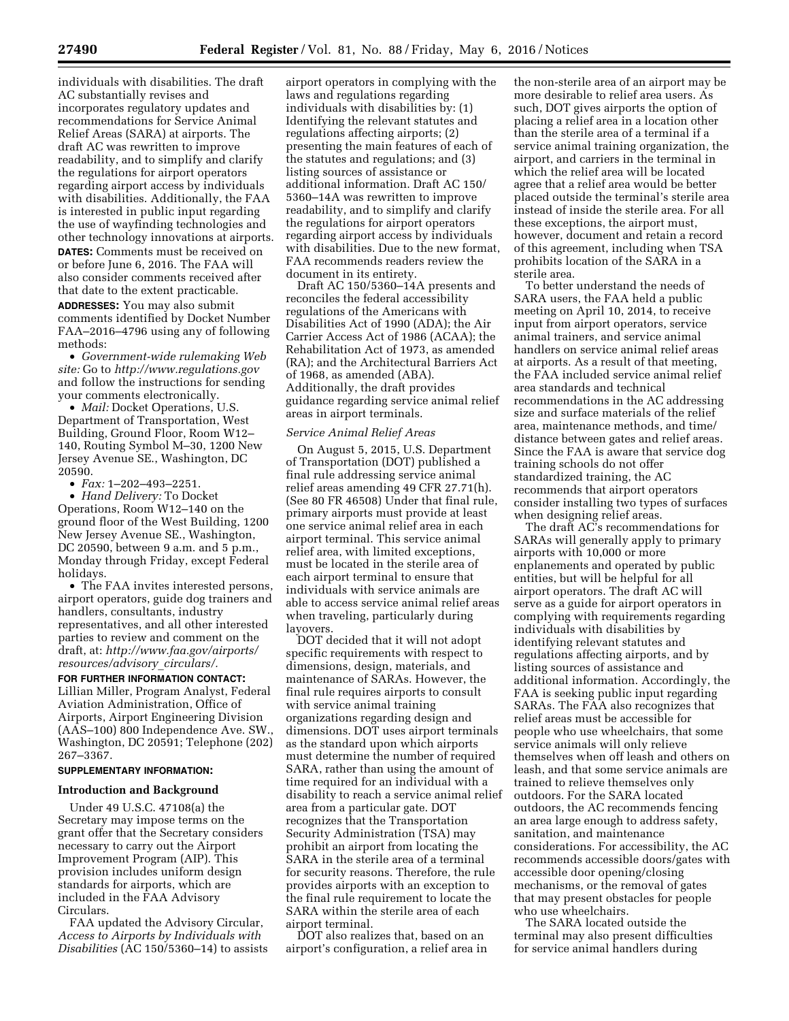individuals with disabilities. The draft AC substantially revises and incorporates regulatory updates and recommendations for Service Animal Relief Areas (SARA) at airports. The draft AC was rewritten to improve readability, and to simplify and clarify the regulations for airport operators regarding airport access by individuals with disabilities. Additionally, the FAA is interested in public input regarding the use of wayfinding technologies and other technology innovations at airports.

**DATES:** Comments must be received on or before June 6, 2016. The FAA will also consider comments received after that date to the extent practicable.

**ADDRESSES:** You may also submit comments identified by Docket Number FAA–2016–4796 using any of following methods:

• *Government-wide rulemaking Web site:* Go to *<http://www.regulations.gov>*  and follow the instructions for sending your comments electronically.

• *Mail:* Docket Operations, U.S. Department of Transportation, West Building, Ground Floor, Room W12– 140, Routing Symbol M–30, 1200 New Jersey Avenue SE., Washington, DC 20590.

• *Fax:* 1–202–493–2251.

• *Hand Delivery:* To Docket Operations, Room W12–140 on the ground floor of the West Building, 1200 New Jersey Avenue SE., Washington, DC 20590, between 9 a.m. and 5 p.m., Monday through Friday, except Federal holidays.

• The FAA invites interested persons, airport operators, guide dog trainers and handlers, consultants, industry representatives, and all other interested parties to review and comment on the draft, at: *[http://www.faa.gov/airports/](http://www.faa.gov/airports/resources/advisory_circulars/) [resources/advisory](http://www.faa.gov/airports/resources/advisory_circulars/)*\_*circulars/.* 

**FOR FURTHER INFORMATION CONTACT:**  Lillian Miller, Program Analyst, Federal Aviation Administration, Office of Airports, Airport Engineering Division (AAS–100) 800 Independence Ave. SW., Washington, DC 20591; Telephone (202) 267–3367.

# **SUPPLEMENTARY INFORMATION:**

#### **Introduction and Background**

Under 49 U.S.C. 47108(a) the Secretary may impose terms on the grant offer that the Secretary considers necessary to carry out the Airport Improvement Program (AIP). This provision includes uniform design standards for airports, which are included in the FAA Advisory Circulars.

FAA updated the Advisory Circular, *Access to Airports by Individuals with Disabilities* (AC 150/5360–14) to assists

airport operators in complying with the laws and regulations regarding individuals with disabilities by: (1) Identifying the relevant statutes and regulations affecting airports; (2) presenting the main features of each of the statutes and regulations; and (3) listing sources of assistance or additional information. Draft AC 150/ 5360–14A was rewritten to improve readability, and to simplify and clarify the regulations for airport operators regarding airport access by individuals with disabilities. Due to the new format, FAA recommends readers review the document in its entirety.

Draft AC 150/5360–14A presents and reconciles the federal accessibility regulations of the Americans with Disabilities Act of 1990 (ADA); the Air Carrier Access Act of 1986 (ACAA); the Rehabilitation Act of 1973, as amended (RA); and the Architectural Barriers Act of 1968, as amended (ABA). Additionally, the draft provides guidance regarding service animal relief areas in airport terminals.

#### *Service Animal Relief Areas*

On August 5, 2015, U.S. Department of Transportation (DOT) published a final rule addressing service animal relief areas amending 49 CFR 27.71(h). (See 80 FR 46508) Under that final rule, primary airports must provide at least one service animal relief area in each airport terminal. This service animal relief area, with limited exceptions, must be located in the sterile area of each airport terminal to ensure that individuals with service animals are able to access service animal relief areas when traveling, particularly during layovers.

DOT decided that it will not adopt specific requirements with respect to dimensions, design, materials, and maintenance of SARAs. However, the final rule requires airports to consult with service animal training organizations regarding design and dimensions. DOT uses airport terminals as the standard upon which airports must determine the number of required SARA, rather than using the amount of time required for an individual with a disability to reach a service animal relief area from a particular gate. DOT recognizes that the Transportation Security Administration (TSA) may prohibit an airport from locating the SARA in the sterile area of a terminal for security reasons. Therefore, the rule provides airports with an exception to the final rule requirement to locate the SARA within the sterile area of each airport terminal.

DOT also realizes that, based on an airport's configuration, a relief area in the non-sterile area of an airport may be more desirable to relief area users. As such, DOT gives airports the option of placing a relief area in a location other than the sterile area of a terminal if a service animal training organization, the airport, and carriers in the terminal in which the relief area will be located agree that a relief area would be better placed outside the terminal's sterile area instead of inside the sterile area. For all these exceptions, the airport must, however, document and retain a record of this agreement, including when TSA prohibits location of the SARA in a sterile area.

To better understand the needs of SARA users, the FAA held a public meeting on April 10, 2014, to receive input from airport operators, service animal trainers, and service animal handlers on service animal relief areas at airports. As a result of that meeting, the FAA included service animal relief area standards and technical recommendations in the AC addressing size and surface materials of the relief area, maintenance methods, and time/ distance between gates and relief areas. Since the FAA is aware that service dog training schools do not offer standardized training, the AC recommends that airport operators consider installing two types of surfaces when designing relief areas.

The draft AC's recommendations for SARAs will generally apply to primary airports with 10,000 or more enplanements and operated by public entities, but will be helpful for all airport operators. The draft AC will serve as a guide for airport operators in complying with requirements regarding individuals with disabilities by identifying relevant statutes and regulations affecting airports, and by listing sources of assistance and additional information. Accordingly, the FAA is seeking public input regarding SARAs. The FAA also recognizes that relief areas must be accessible for people who use wheelchairs, that some service animals will only relieve themselves when off leash and others on leash, and that some service animals are trained to relieve themselves only outdoors. For the SARA located outdoors, the AC recommends fencing an area large enough to address safety, sanitation, and maintenance considerations. For accessibility, the AC recommends accessible doors/gates with accessible door opening/closing mechanisms, or the removal of gates that may present obstacles for people who use wheelchairs.

The SARA located outside the terminal may also present difficulties for service animal handlers during